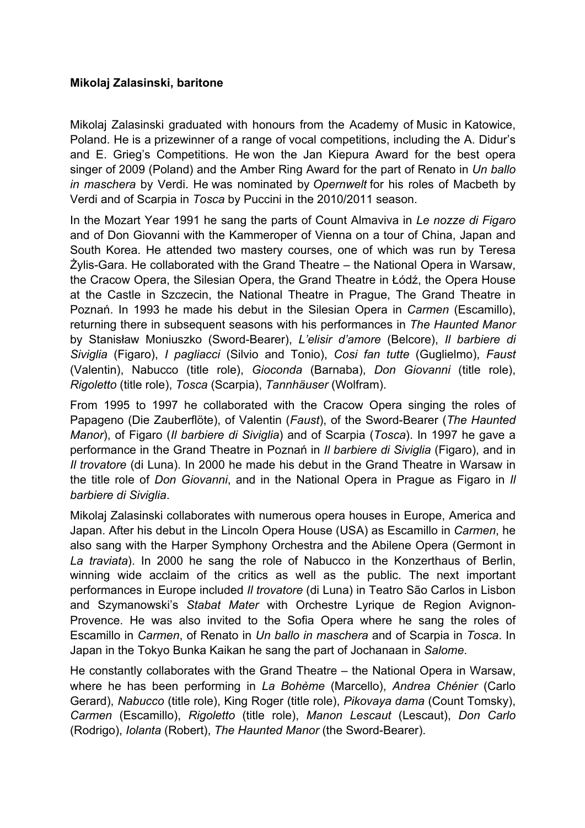## **Mikolaj Zalasinski, baritone**

Mikolaj Zalasinski graduated with honours from the Academy of Music in Katowice, Poland. He is a prizewinner of a range of vocal competitions, including the A. Didur's and E. Grieg's Competitions. He won the Jan Kiepura Award for the best opera singer of 2009 (Poland) and the Amber Ring Award for the part of Renato in *Un ballo in maschera* by Verdi. He was nominated by *Opernwelt* for his roles of Macbeth by Verdi and of Scarpia in *Tosca* by Puccini in the 2010/2011 season.

In the Mozart Year 1991 he sang the parts of Count Almaviva in *Le nozze di Figaro* and of Don Giovanni with the Kammeroper of Vienna on a tour of China, Japan and South Korea. He attended two mastery courses, one of which was run by Teresa Żylis-Gara. He collaborated with the Grand Theatre – the National Opera in Warsaw, the Cracow Opera, the Silesian Opera, the Grand Theatre in Łódź, the Opera House at the Castle in Szczecin, the National Theatre in Prague, The Grand Theatre in Poznań. In 1993 he made his debut in the Silesian Opera in *Carmen* (Escamillo), returning there in subsequent seasons with his performances in *The Haunted Manor* by Stanisław Moniuszko (Sword-Bearer), *L'elisir d'amore* (Belcore), *Il barbiere di Siviglia* (Figaro), *I pagliacci* (Silvio and Tonio), *Cosi fan tutte* (Guglielmo), *Faust* (Valentin), Nabucco (title role), *Gioconda* (Barnaba), *Don Giovanni* (title role), *Rigoletto* (title role), *Tosca* (Scarpia), *Tannhäuser* (Wolfram).

From 1995 to 1997 he collaborated with the Cracow Opera singing the roles of Papageno (Die Zauberflöte), of Valentin (*Faust*), of the Sword-Bearer (*The Haunted Manor*), of Figaro (*Il barbiere di Siviglia*) and of Scarpia (*Tosca*). In 1997 he gave a performance in the Grand Theatre in Poznań in *Il barbiere di Siviglia* (Figaro), and in *Il trovatore* (di Luna). In 2000 he made his debut in the Grand Theatre in Warsaw in the title role of *Don Giovanni*, and in the National Opera in Prague as Figaro in *Il barbiere di Siviglia*.

Mikolaj Zalasinski collaborates with numerous opera houses in Europe, America and Japan. After his debut in the Lincoln Opera House (USA) as Escamillo in *Carmen*, he also sang with the Harper Symphony Orchestra and the Abilene Opera (Germont in *La traviata*). In 2000 he sang the role of Nabucco in the Konzerthaus of Berlin, winning wide acclaim of the critics as well as the public. The next important performances in Europe included *Il trovatore* (di Luna) in Teatro São Carlos in Lisbon and Szymanowski's *Stabat Mater* with Orchestre Lyrique de Region Avignon-Provence. He was also invited to the Sofia Opera where he sang the roles of Escamillo in *Carmen*, of Renato in *Un ballo in maschera* and of Scarpia in *Tosca*. In Japan in the Tokyo Bunka Kaikan he sang the part of Jochanaan in *Salome*.

He constantly collaborates with the Grand Theatre – the National Opera in Warsaw, where he has been performing in *La Bohème* (Marcello), *Andrea Chénier* (Carlo Gerard), *Nabucco* (title role), King Roger (title role), *Pikovaya dama* (Count Tomsky), *Carmen* (Escamillo), *Rigoletto* (title role), *Manon Lescaut* (Lescaut), *Don Carlo* (Rodrigo), *Iolanta* (Robert), *The Haunted Manor* (the Sword-Bearer).